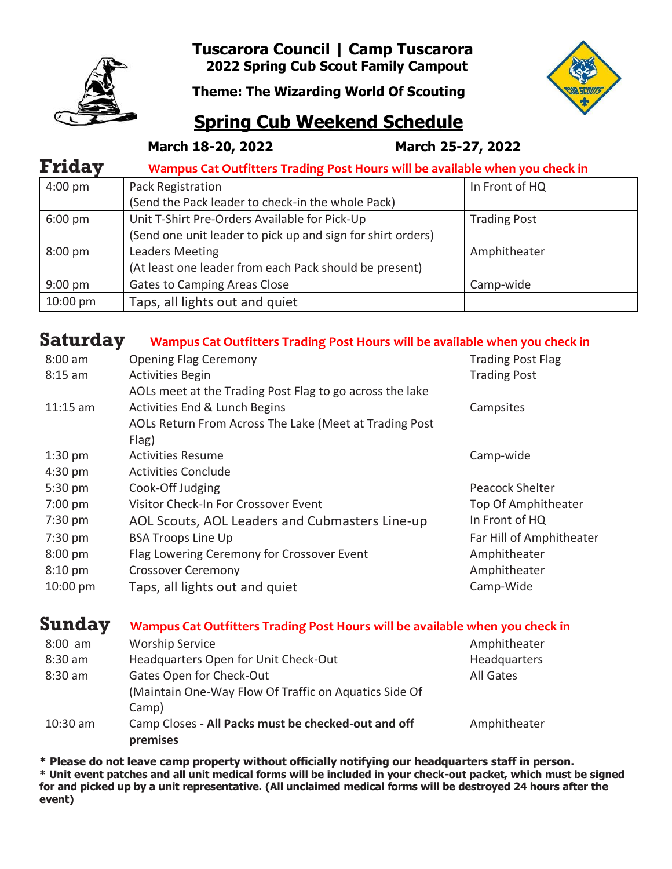

**Tuscarora Council | Camp Tuscarora 2022 Spring Cub Scout Family Campout**

**Theme: The Wizarding World Of Scouting**



## **Spring Cub Weekend Schedule**

 **March 18-20, 2022 March 25-27, 2022**

| <b>Friday</b>     | Wampus Cat Outfitters Trading Post Hours will be available when you check in |                     |  |  |
|-------------------|------------------------------------------------------------------------------|---------------------|--|--|
| $4:00 \text{ pm}$ | Pack Registration                                                            | In Front of HQ      |  |  |
|                   | (Send the Pack leader to check-in the whole Pack)                            |                     |  |  |
| $6:00 \text{ pm}$ | Unit T-Shirt Pre-Orders Available for Pick-Up                                | <b>Trading Post</b> |  |  |
|                   | (Send one unit leader to pick up and sign for shirt orders)                  |                     |  |  |
| $8:00 \text{ pm}$ | <b>Leaders Meeting</b>                                                       | Amphitheater        |  |  |
|                   | (At least one leader from each Pack should be present)                       |                     |  |  |
| $9:00$ pm         | Gates to Camping Areas Close                                                 | Camp-wide           |  |  |
| 10:00 pm          | Taps, all lights out and quiet                                               |                     |  |  |

## **Saturday Wampus Cat Outfitters Trading Post Hours will be available when you check in**

| $8:00$ am         | <b>Opening Flag Ceremony</b>                             | <b>Trading Post Flag</b> |
|-------------------|----------------------------------------------------------|--------------------------|
| $8:15$ am         | <b>Activities Begin</b>                                  | <b>Trading Post</b>      |
|                   | AOLs meet at the Trading Post Flag to go across the lake |                          |
| $11:15$ am        | Activities End & Lunch Begins                            | Campsites                |
|                   | AOLs Return From Across The Lake (Meet at Trading Post   |                          |
|                   | Flag)                                                    |                          |
| $1:30$ pm         | Activities Resume                                        | Camp-wide                |
| $4:30$ pm         | <b>Activities Conclude</b>                               |                          |
| 5:30 pm           | Cook-Off Judging                                         | Peacock Shelter          |
| $7:00 \text{ pm}$ | Visitor Check-In For Crossover Event                     | Top Of Amphitheater      |
| 7:30 pm           | AOL Scouts, AOL Leaders and Cubmasters Line-up           | In Front of HQ           |
| $7:30$ pm         | <b>BSA Troops Line Up</b>                                | Far Hill of Amphitheater |
| $8:00 \text{ pm}$ | Flag Lowering Ceremony for Crossover Event               | Amphitheater             |
| $8:10$ pm         | <b>Crossover Ceremony</b>                                | Amphitheater             |
| 10:00 pm          | Taps, all lights out and quiet                           | Camp-Wide                |

## **Sunday Wampus Cat Outfitters Trading Post Hours will be available when you check in**

| $8:00$ am  | <b>Worship Service</b>                                | Amphitheater |
|------------|-------------------------------------------------------|--------------|
| $8:30$ am  | Headquarters Open for Unit Check-Out                  | Headquarters |
| 8:30 am    | Gates Open for Check-Out                              | All Gates    |
|            | (Maintain One-Way Flow Of Traffic on Aquatics Side Of |              |
|            | Camp)                                                 |              |
| $10:30$ am | Camp Closes - All Packs must be checked-out and off   | Amphitheater |
|            | premises                                              |              |

**\* Please do not leave camp property without officially notifying our headquarters staff in person.**

**\* Unit event patches and all unit medical forms will be included in your check-out packet, which must be signed for and picked up by a unit representative. (All unclaimed medical forms will be destroyed 24 hours after the event)**